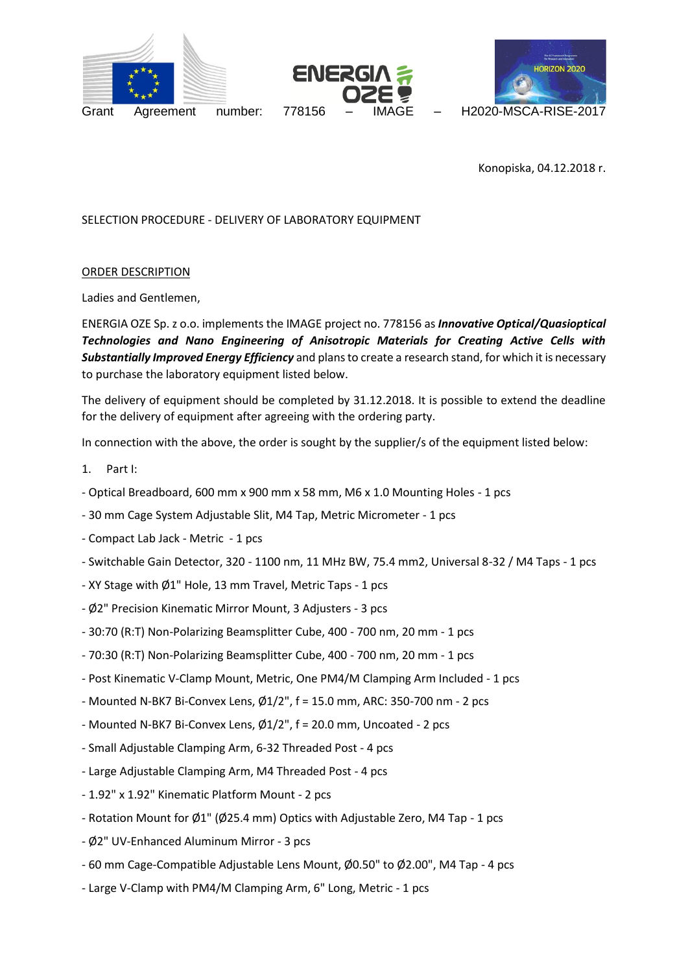





number:

Konopiska, 04.12.2018 r.

SELECTION PROCEDURE - DELIVERY OF LABORATORY EQUIPMENT

### ORDER DESCRIPTION

Ladies and Gentlemen,

ENERGIA OZE Sp. z o.o. implements the IMAGE project no. 778156 as *Innovative Optical/Quasioptical Technologies and Nano Engineering of Anisotropic Materials for Creating Active Cells with Substantially Improved Energy Efficiency* and plans to create a research stand, for which it is necessary to purchase the laboratory equipment listed below.

The delivery of equipment should be completed by 31.12.2018. It is possible to extend the deadline for the delivery of equipment after agreeing with the ordering party.

In connection with the above, the order is sought by the supplier/s of the equipment listed below:

- 1. Part I:
- Optical Breadboard, 600 mm x 900 mm x 58 mm, M6 x 1.0 Mounting Holes 1 pcs
- 30 mm Cage System Adjustable Slit, M4 Tap, Metric Micrometer 1 pcs
- Compact Lab Jack Metric 1 pcs
- Switchable Gain Detector, 320 1100 nm, 11 MHz BW, 75.4 mm2, Universal 8-32 / M4 Taps 1 pcs
- XY Stage with Ø1" Hole, 13 mm Travel, Metric Taps 1 pcs
- Ø2" Precision Kinematic Mirror Mount, 3 Adjusters 3 pcs
- 30:70 (R:T) Non-Polarizing Beamsplitter Cube, 400 700 nm, 20 mm 1 pcs
- 70:30 (R:T) Non-Polarizing Beamsplitter Cube, 400 700 nm, 20 mm 1 pcs
- Post Kinematic V-Clamp Mount, Metric, One PM4/M Clamping Arm Included 1 pcs
- Mounted N-BK7 Bi-Convex Lens, Ø1/2", f = 15.0 mm, ARC: 350-700 nm 2 pcs
- Mounted N-BK7 Bi-Convex Lens, Ø1/2", f = 20.0 mm, Uncoated 2 pcs
- Small Adjustable Clamping Arm, 6-32 Threaded Post 4 pcs
- Large Adjustable Clamping Arm, M4 Threaded Post 4 pcs
- 1.92" x 1.92" Kinematic Platform Mount 2 pcs
- Rotation Mount for Ø1" (Ø25.4 mm) Optics with Adjustable Zero, M4 Tap 1 pcs
- Ø2" UV-Enhanced Aluminum Mirror 3 pcs
- 60 mm Cage-Compatible Adjustable Lens Mount, Ø0.50" to Ø2.00", M4 Tap 4 pcs
- Large V-Clamp with PM4/M Clamping Arm, 6" Long, Metric 1 pcs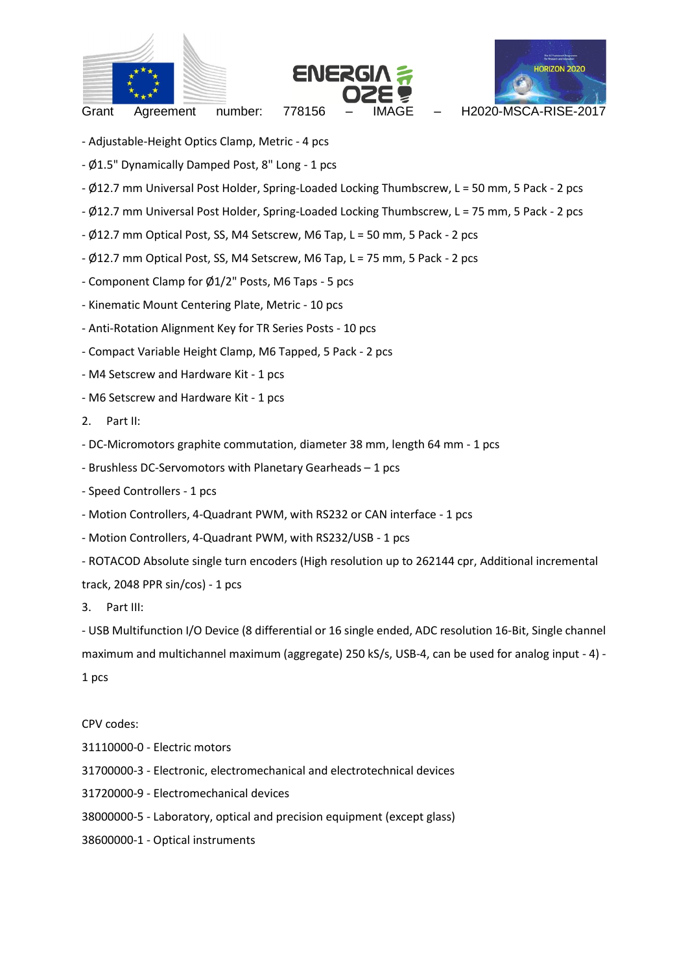





number: Grant Agreement number: 778156 – IMAGE – H2020-MSCA-RISE-2017

- Adjustable-Height Optics Clamp, Metric 4 pcs
- Ø1.5" Dynamically Damped Post, 8" Long 1 pcs
- Ø12.7 mm Universal Post Holder, Spring-Loaded Locking Thumbscrew, L = 50 mm, 5 Pack 2 pcs
- Ø12.7 mm Universal Post Holder, Spring-Loaded Locking Thumbscrew, L = 75 mm, 5 Pack 2 pcs
- Ø12.7 mm Optical Post, SS, M4 Setscrew, M6 Tap, L = 50 mm, 5 Pack 2 pcs
- Ø12.7 mm Optical Post, SS, M4 Setscrew, M6 Tap, L = 75 mm, 5 Pack 2 pcs
- Component Clamp for Ø1/2" Posts, M6 Taps 5 pcs
- Kinematic Mount Centering Plate, Metric 10 pcs
- Anti-Rotation Alignment Key for TR Series Posts 10 pcs
- Compact Variable Height Clamp, M6 Tapped, 5 Pack 2 pcs
- M4 Setscrew and Hardware Kit 1 pcs
- M6 Setscrew and Hardware Kit 1 pcs
- 2. Part II:

- DC-Micromotors graphite commutation, diameter 38 mm, length 64 mm - 1 pcs

- Brushless DC-Servomotors with Planetary Gearheads 1 pcs
- Speed Controllers 1 pcs
- Motion Controllers, 4-Quadrant PWM, with RS232 or CAN interface 1 pcs
- Motion Controllers, 4-Quadrant PWM, with RS232/USB 1 pcs
- ROTACOD Absolute single turn encoders (High resolution up to 262144 cpr, Additional incremental

track, 2048 PPR sin/cos) - 1 pcs

3. Part III:

- USB Multifunction I/O Device (8 differential or 16 single ended, ADC resolution 16-Bit, Single channel maximum and multichannel maximum (aggregate) 250 kS/s, USB-4, can be used for analog input - 4) - 1 pcs

#### CPV codes:

- 31110000-0 Electric motors
- 31700000-3 Electronic, electromechanical and electrotechnical devices
- 31720000-9 Electromechanical devices
- 38000000-5 Laboratory, optical and precision equipment (except glass)
- 38600000-1 Optical instruments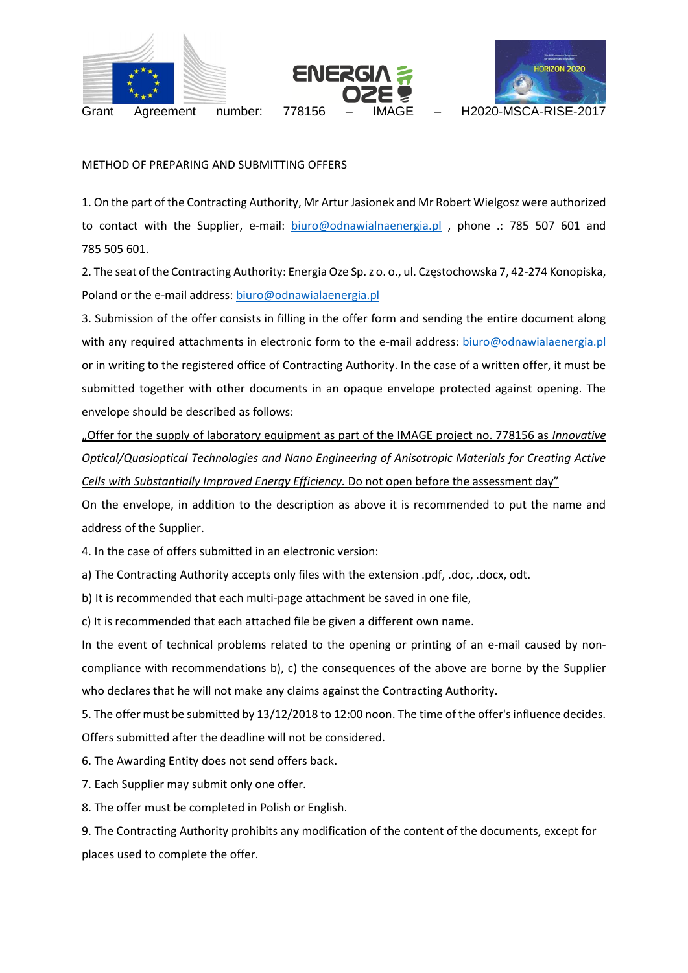





Grant Agreement number: 778156 – IMAGE – H2020-MSCA-RISE-2017

#### METHOD OF PREPARING AND SUBMITTING OFFERS

1. On the part of the Contracting Authority, Mr Artur Jasionek and Mr Robert Wielgosz were authorized to contact with the Supplier, e-mail: [biuro@odnawialnaenergia.pl](mailto:biuro@odnawialnaenergia.pl), phone .: 785 507 601 and 785 505 601.

2. The seat of the Contracting Authority: Energia Oze Sp. z o. o., ul. Częstochowska 7, 42-274 Konopiska, Poland or the e-mail address: [biuro@odnawialaenergia.pl](mailto:biuro@odnawialaenergia.pl)

3. Submission of the offer consists in filling in the offer form and sending the entire document along with any required attachments in electronic form to the e-mail address: [biuro@odnawialaenergia.pl](mailto:biuro@odnawialaenergia.pl) or in writing to the registered office of Contracting Authority. In the case of a written offer, it must be submitted together with other documents in an opaque envelope protected against opening. The envelope should be described as follows:

"Offer for the supply of laboratory equipment as part of the IMAGE project no. 778156 as *Innovative Optical/Quasioptical Technologies and Nano Engineering of Anisotropic Materials for Creating Active Cells with Substantially Improved Energy Efficiency.* Do not open before the assessment day"

On the envelope, in addition to the description as above it is recommended to put the name and address of the Supplier.

4. In the case of offers submitted in an electronic version:

a) The Contracting Authority accepts only files with the extension .pdf, .doc, .docx, odt.

b) It is recommended that each multi-page attachment be saved in one file,

c) It is recommended that each attached file be given a different own name.

In the event of technical problems related to the opening or printing of an e-mail caused by noncompliance with recommendations b), c) the consequences of the above are borne by the Supplier who declares that he will not make any claims against the Contracting Authority.

5. The offer must be submitted by 13/12/2018 to 12:00 noon. The time of the offer's influence decides. Offers submitted after the deadline will not be considered.

6. The Awarding Entity does not send offers back.

7. Each Supplier may submit only one offer.

8. The offer must be completed in Polish or English.

9. The Contracting Authority prohibits any modification of the content of the documents, except for places used to complete the offer.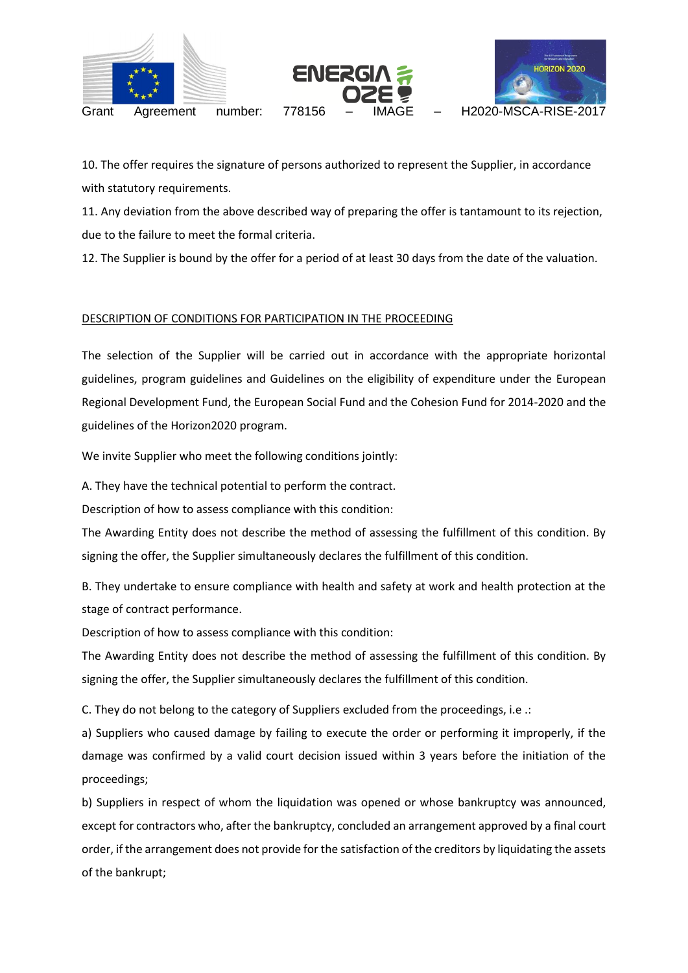

10. The offer requires the signature of persons authorized to represent the Supplier, in accordance with statutory requirements.

11. Any deviation from the above described way of preparing the offer is tantamount to its rejection, due to the failure to meet the formal criteria.

12. The Supplier is bound by the offer for a period of at least 30 days from the date of the valuation.

## DESCRIPTION OF CONDITIONS FOR PARTICIPATION IN THE PROCEEDING

The selection of the Supplier will be carried out in accordance with the appropriate horizontal guidelines, program guidelines and Guidelines on the eligibility of expenditure under the European Regional Development Fund, the European Social Fund and the Cohesion Fund for 2014-2020 and the guidelines of the Horizon2020 program.

We invite Supplier who meet the following conditions jointly:

A. They have the technical potential to perform the contract.

Description of how to assess compliance with this condition:

The Awarding Entity does not describe the method of assessing the fulfillment of this condition. By signing the offer, the Supplier simultaneously declares the fulfillment of this condition.

B. They undertake to ensure compliance with health and safety at work and health protection at the stage of contract performance.

Description of how to assess compliance with this condition:

The Awarding Entity does not describe the method of assessing the fulfillment of this condition. By signing the offer, the Supplier simultaneously declares the fulfillment of this condition.

C. They do not belong to the category of Suppliers excluded from the proceedings, i.e .:

a) Suppliers who caused damage by failing to execute the order or performing it improperly, if the damage was confirmed by a valid court decision issued within 3 years before the initiation of the proceedings;

b) Suppliers in respect of whom the liquidation was opened or whose bankruptcy was announced, except for contractors who, after the bankruptcy, concluded an arrangement approved by a final court order, if the arrangement does not provide for the satisfaction of the creditors by liquidating the assets of the bankrupt;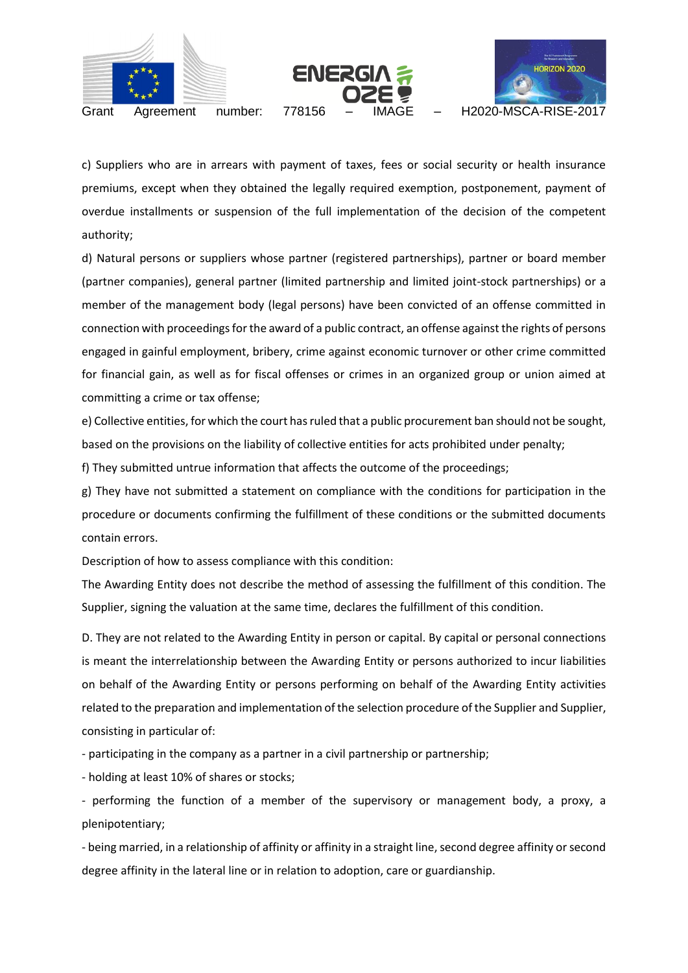



c) Suppliers who are in arrears with payment of taxes, fees or social security or health insurance premiums, except when they obtained the legally required exemption, postponement, payment of overdue installments or suspension of the full implementation of the decision of the competent authority;

d) Natural persons or suppliers whose partner (registered partnerships), partner or board member (partner companies), general partner (limited partnership and limited joint-stock partnerships) or a member of the management body (legal persons) have been convicted of an offense committed in connection with proceedings for the award of a public contract, an offense against the rights of persons engaged in gainful employment, bribery, crime against economic turnover or other crime committed for financial gain, as well as for fiscal offenses or crimes in an organized group or union aimed at committing a crime or tax offense;

e) Collective entities, for which the court has ruled that a public procurement ban should not be sought, based on the provisions on the liability of collective entities for acts prohibited under penalty;

f) They submitted untrue information that affects the outcome of the proceedings;

g) They have not submitted a statement on compliance with the conditions for participation in the procedure or documents confirming the fulfillment of these conditions or the submitted documents contain errors.

Description of how to assess compliance with this condition:

The Awarding Entity does not describe the method of assessing the fulfillment of this condition. The Supplier, signing the valuation at the same time, declares the fulfillment of this condition.

D. They are not related to the Awarding Entity in person or capital. By capital or personal connections is meant the interrelationship between the Awarding Entity or persons authorized to incur liabilities on behalf of the Awarding Entity or persons performing on behalf of the Awarding Entity activities related to the preparation and implementation of the selection procedure of the Supplier and Supplier, consisting in particular of:

- participating in the company as a partner in a civil partnership or partnership;

- holding at least 10% of shares or stocks;

- performing the function of a member of the supervisory or management body, a proxy, a plenipotentiary;

- being married, in a relationship of affinity or affinity in a straight line, second degree affinity or second degree affinity in the lateral line or in relation to adoption, care or guardianship.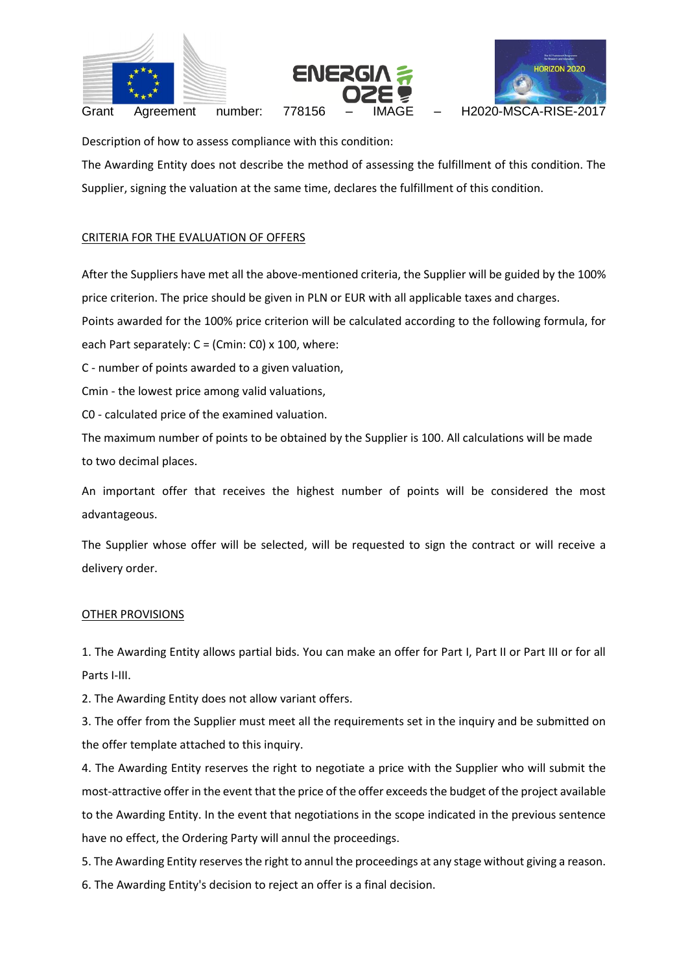





Grant Agreement number: 778156 – IMAGE – H2020-MSCA-RISE-2017

Description of how to assess compliance with this condition:

The Awarding Entity does not describe the method of assessing the fulfillment of this condition. The Supplier, signing the valuation at the same time, declares the fulfillment of this condition.

# CRITERIA FOR THE EVALUATION OF OFFERS

After the Suppliers have met all the above-mentioned criteria, the Supplier will be guided by the 100% price criterion. The price should be given in PLN or EUR with all applicable taxes and charges.

Points awarded for the 100% price criterion will be calculated according to the following formula, for each Part separately:  $C = (Cmin: CO) \times 100$ , where:

C - number of points awarded to a given valuation,

Cmin - the lowest price among valid valuations,

C0 - calculated price of the examined valuation.

The maximum number of points to be obtained by the Supplier is 100. All calculations will be made to two decimal places.

An important offer that receives the highest number of points will be considered the most advantageous.

The Supplier whose offer will be selected, will be requested to sign the contract or will receive a delivery order.

## OTHER PROVISIONS

1. The Awarding Entity allows partial bids. You can make an offer for Part I, Part II or Part III or for all Parts I-III.

2. The Awarding Entity does not allow variant offers.

3. The offer from the Supplier must meet all the requirements set in the inquiry and be submitted on the offer template attached to this inquiry.

4. The Awarding Entity reserves the right to negotiate a price with the Supplier who will submit the most-attractive offer in the event that the price of the offer exceeds the budget of the project available to the Awarding Entity. In the event that negotiations in the scope indicated in the previous sentence have no effect, the Ordering Party will annul the proceedings.

5. The Awarding Entity reserves the right to annul the proceedings at any stage without giving a reason.

6. The Awarding Entity's decision to reject an offer is a final decision.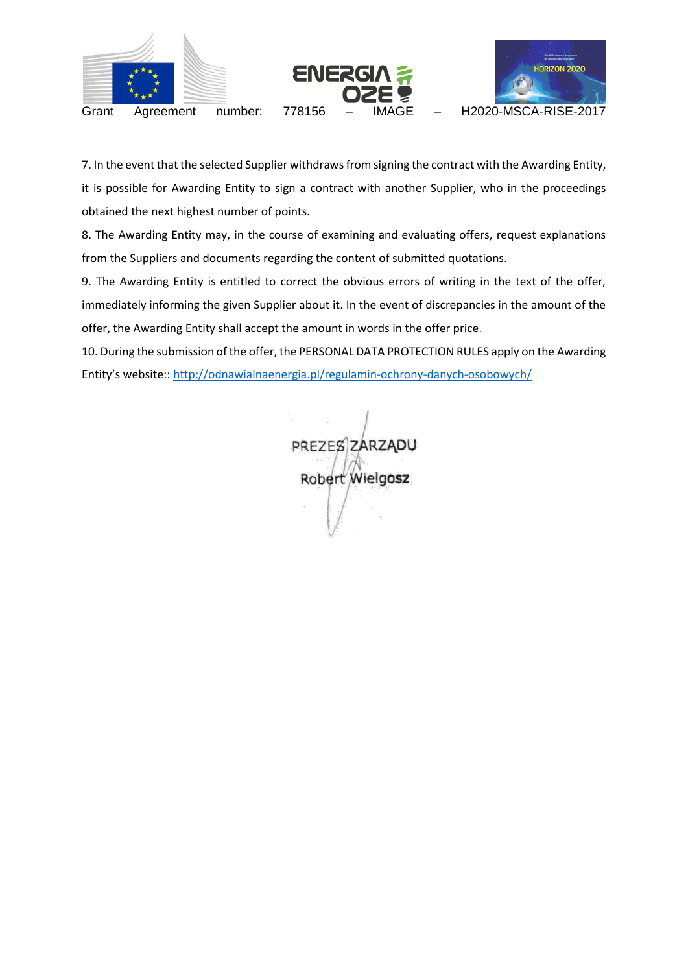

7. In the event that the selected Supplier withdraws from signing the contract with the Awarding Entity, it is possible for Awarding Entity to sign a contract with another Supplier, who in the proceedings obtained the next highest number of points.

8. The Awarding Entity may, in the course of examining and evaluating offers, request explanations from the Suppliers and documents regarding the content of submitted quotations.

9. The Awarding Entity is entitled to correct the obvious errors of writing in the text of the offer, immediately informing the given Supplier about it. In the event of discrepancies in the amount of the offer, the Awarding Entity shall accept the amount in words in the offer price.

10. During the submission of the offer, the PERSONAL DATA PROTECTION RULES apply on the Awarding Entity's website::<http://odnawialnaenergia.pl/regulamin-ochrony-danych-osobowych/>

PREZES ZARZĄDU Robert Wielgosz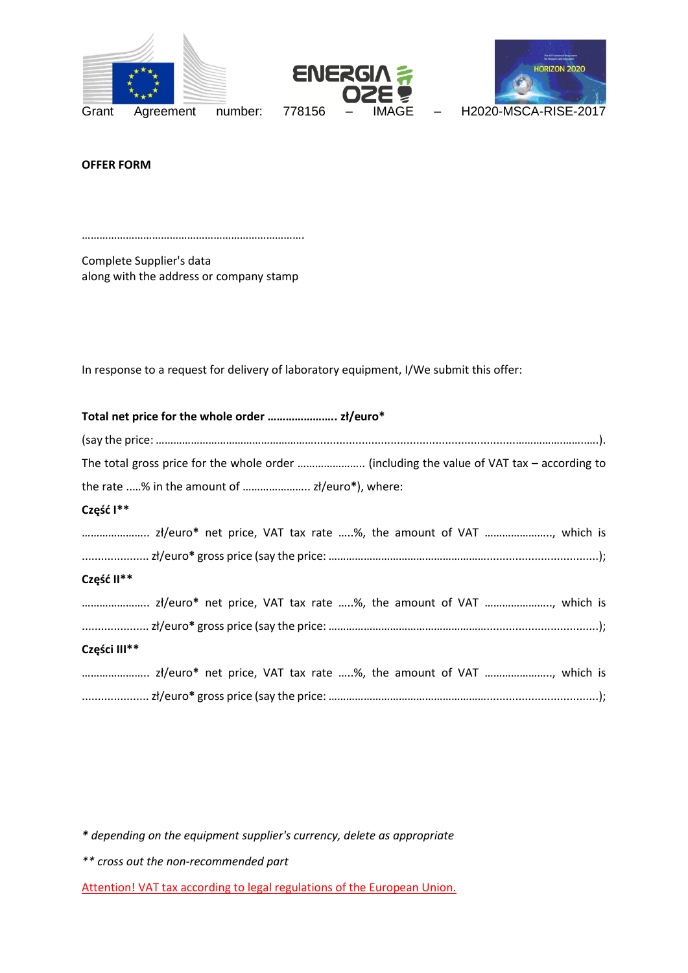





**OFFER FORM**

………………………………………………………………….

Complete Supplier's data along with the address or company stamp

In response to a request for delivery of laboratory equipment, I/We submit this offer:

*\* depending on the equipment supplier's currency, delete as appropriate*

*\*\* cross out the non-recommended part*

Attention! VAT tax according to legal regulations of the European Union.